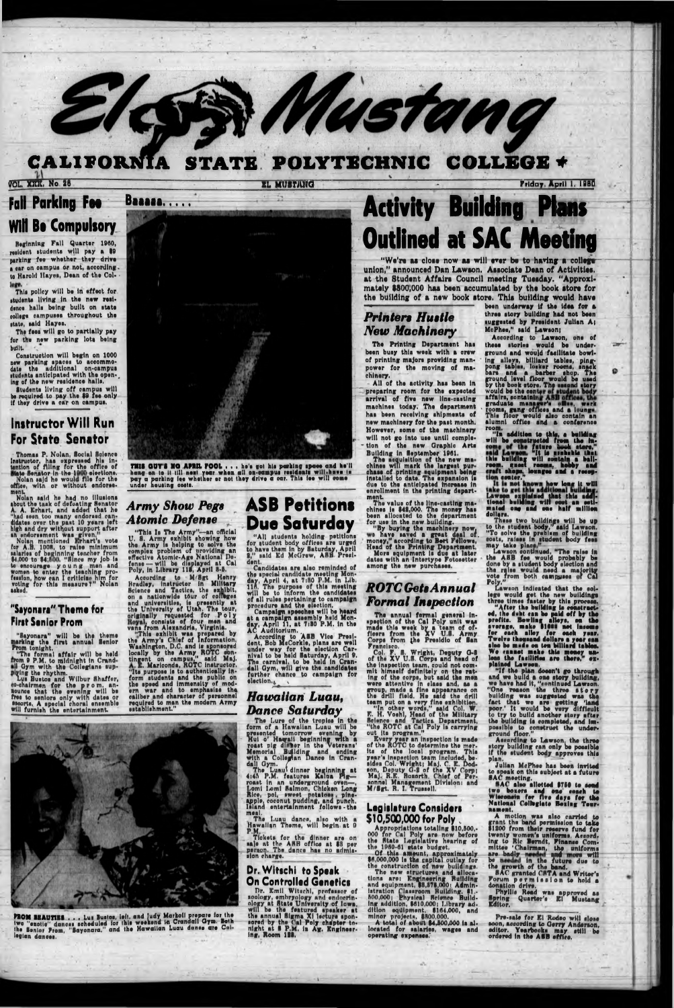#### CALIFORNIA STATE POLYTECHNIC **COLLEGE +**

VOL. XIII. No. 26

EL MUSTILIG

# **Fall Parking Fee Will Be Compulsory**

Beginning Fall Quarter 1960, resident students will pay a 89 parking for whether they drive a car on campus or not, according. to Harold Hayes, Dean of the Col-

This policy will be in effect for students living in the new residence halls being built on state college campuses throughout the state, said Hayes.

The fees will go to partially pay for the new parking lots being **budle** 

Construction will begin on 1000 new parking spaces to accommodate the additional on-campus<br>date the additional on-campus<br>students anticipated with the opening of the new residence halls.

Students living off campus will be required to pay the 89 fee only if they drive a car on campus.

# **Instructor Will Run** For State Senator

Thomas P. Nolan, Social Science Instructor, has expressed his intention of filing for the office of<br>tention of filing for the office of<br>state Senator in the 1900 elections.<br>Nolan said he would file for the<br>office, with or without endorsemeni

ment.<br>Nolan said he had no illusions<br>about the task of defeating Senator<br>A. A. Erhart, and added that he<br>"had seen too many endorsed can-<br>didates over the past 10 years left<br>high and dry without support after

any endorsement was given."<br>
Nolan mentioned Frhart's vote<br>
for A.B. 1008, to raise minimum<br>
salaries of beginning teacher from<br>
[4,000 to \$4,800, "Since my job is to encourage you ng men and<br>women to enter the teaching pro-<br>fession, how can I criticize him for<br>voting for this measure?" Nolan

### "Sayonara" Theme for **First Senior Prom**

"Sayonara" will be the theme<br>marking the first annual Senior<br>From tonight.<br>"The formal affair will be held<br>from 9 P.M. to midnight in Crand-<br>all Gym with the Collegians sup-



THIS GUY'S NO APRIL FOOL . . . he's got his perking spees and he'll hang on to it till nont year when gil on-eampus residents will have to pay a parking fee whether or not they drive a car. This fee will come under heusing

## **Army Show Pegs Atomic Defense**

**Baaaa.....** 

"This Is The Army"-an official<br>U. S. Army exhibit showing how<br>the Army is helping to solve the<br>complex problem of providing an<br>effective Atomic-Age National De-<br>fense -- will be displayed at Cal<br>Poly, in Library 115, April

rense — will be displayed at Cal<br>
Poly, in Library 115, April 3-5.<br>
According to Midistry<br>
Bradley, instructor in Military<br>
Bradley, instructor in Military<br>
Science and Tactics, the oxhibit,<br>
on a nationwide tour of collug

# **ASB Petitions Due Saturday**

"All students holding petitions for student body offices are urged to have them in by Saturday, April 2," said Ed McGrew, ASB. President.

dent.<br>
Candidates are also reminded of<br>
the special candidate meeting Mon-<br>
day, April 4, at 7:80 P.M. in Lib.<br>
116. The purpose of this meeting<br>
will be to inform the candidates of all rules pertaining to campaign

of all rules pertaining to campaign<br>procedure and the election.<br>Let a campaign speeches will be heard<br>at a campaign speeches will be heard<br>at a campaign sneembly held Mon-<br>dex April 11, at 7:30 P.M. in the<br>AC Auditorium.<br>A dall Gym, will give the candidates<br>further chance to campaign for election.

# **Activity Building Plans Outlined at SAC Meeting**

We're as close now as will ever be to having a college union." announced Dan Lawson. Associate Dean of Activities. at the Student Affairs Council meeting Tuesday. "Approximately \$800,000 has been accumulated by the book store for the building of a new book store. This building would have

### **Printers Hustle New Machinery**

**St Mustang** 

The Printing Department has been busy this week with a crew of printing majors providing manpower for the moving of machinery.

All of the activity has been in preparing room for the expected arrival of five new line-casting machines today. The department has been receiving shipments of new machinery for the past month. However, some of the machinery will not go into use until completion of the new Graphic Arts Building in September 1961.

Button of the negotiation of the new matches will mark the largest purchase of printing equipment being<br>installed to date. The axpansion is<br>due to the anticipated increase in<br>enrollment in the printing depart-

The value of the line-casting machines is \$42,000. The money has<br>been allocated to the department for use in the new building.

"By buying the machinery now,<br>"By buying the machinery now,<br>money," according to Bert Fellows,<br>Head of the Printing Department.<br>More equipment is due at later dates with an Intertype Fotosetter among the new purchases.

**ROTC** Gets Annual **Formal Inspection** 

The annual fermal general in-<br>neetion of the Cal Poly unit was<br>made this week by a team of of-<br>floers from the XV U.S. Army<br>Corps from the Presidio of San

Francisco.<br>Col. F. S. Wright, Deputy G-8<br>of the XV U.S. Corps and hand of

been underway if the idea for a three story building had not been suggested by President Julian A; McPhes," said Lawson;

Friday, April 1, 1980

Assording to Lawson, one of<br>these stories would be under-<br>ground and would facilitate bowlground and would facilitate bowling<br>ing alleys, billiard tables, ping-<br>pong tables, locker rooms, snack<br>bars and a barber shop. The<br>ground level floor would be used<br>by the book store. The second story<br>would be the cent<br>aff

ø

alumni office and a conference<br>room.<br>"In addition to this, a building<br>will be constructed from the in-<br>"It is numbered from the in-<br>"It is numbered from the in-<br>"It is numbered recope...<br>meet recourt, hobby and<br>"It shope,

These two buildings will be up<br>to the student body," said Lawson.<br>"To solve the prehism of building

"To solve the prehium of building<br>costs, raises in student body fees<br>may take place."<br>Lawson continued, "The raise in<br>the ASB fee would probably be<br>done by a student body election and<br>the raise would need a majority<br>vote f

Lawson indicated that the college would get the new buildings<br>three times faster by this process.<br>"After the building is construct-<br>"After the building is construct-<br>"After the building is construct-<br>prefits. Bewling alley plained Lawson.<br>"If the plan doesn't go through<br>and we build a one story building,<br>we have had it, "sontinued Lawson.<br>"One reason the three story"<br>building was suggested was updated in the<br>fact that we are getting "land<br>po Assarding to Lawson, the three story building can only be possible plan.

plying the rhythm.<br>Lus Bustos and Wilbur Shaffer,

so-chairmen for the prom. an-<br>acunee that the evening will be<br>free to seniors only with dates or<br>secrits. A special choral ensemble<br>will furnish the entertainment.

## Hawallan Luau, **Dance Saturday**

The Lure of the tropics in the<br>form of a Hawaiian Luau will be<br>presented tomorrow evening by<br>Hui o' Hawaiian beginning with a<br>roast pig dimer in the Veterans'<br>Memorial Building and ending<br>with a Collegian Dance in Cran-<br>da

roast in an underground oven-, Lomi Lami Salmon, Chicken Long<br>Rice, pol, sweet potatom, pine-<br>apple, coconut pudding, and punch.<br>Island entertainment follows - the

meal.<br>The Luau dance, also with a<br>Hawaiian Theme, will begin at 0<br>P.M.<br>Tickets for the dinner are on<br>sale at the ARB office at \$3 per<br>person. The dance has no admis-<br>sion charge.

### Dr. Witschi to Speak **On Controlled Genetics**

Dr. Emil Witschl, professor of scology, embryology and endocrine<br>scology, embryology and endocrine.<br>ology at State University of Iowa,<br>will be the featured speaker at<br>the annual Sigma Xi lecture spon-<br>nored by the Gal Poly chapter to-<br>night at S P.M. is

of the XV U.S. Corps and had of<br>the XV U.S. Corps and had of<br>the inspection team, could not com-<br>mit himself definitely on the rat-<br>ing of the corps, but said the men<br>were attentive in class and, as a<br>group, made a fine ap

### **Legislature Considers** \$10,500,000 for Poly

Appropriations totaling \$10,500,.<br>000 for Cal Poly are now before the State Legislative hearing of<br>the 1960-61 state budget.

the 1960-61 state budget.<br>
Of this amount, approximately<br>
86,000,000 is the expital outlay for<br>
the construction of new buildings.<br>
The new structures and silocal<br>
tions are: Engineering Building<br>
and equipment, \$5,375,000

located for salaries, wages and operating expenses.

Julian McPhee has been invited to speak on this subject at a future<br>SAC meeting.<br>EAC also alletted \$750 to send

two boxers and end seach to<br>Wisconsin for five days for the<br>National Collegiate Bexing Teurnament,

nament.<br>
A motion was also carried to<br>
grant the band permission to take<br>
11800 from their reserve fund for<br>
twenty women's uniforms. Associated<br>
ing to Ric Berndt, Finance Com-<br>
mittes 'Chairman, the uniforms<br>
are badly<br>

Forum permission to hold a<br>donation drive.<br>Fhyllis Read was approved as<br>Spring Quarter's El Mustang<br>Editor.

Pre-sale for El Rodeo will slose<br>soon, according to Gerry Anderson,<br>editor. Yearbooks may still be<br>ordered in the ASB affice.



**PROM BEAUTIES...** Lux Buston, left, and judy Markoll prepare for the two "exotic" dances scheduled for this weekend in Crandail Gym. Both the Benior Prom, "Sayonara," and the Hawaiian Luau dance are Called legian dances.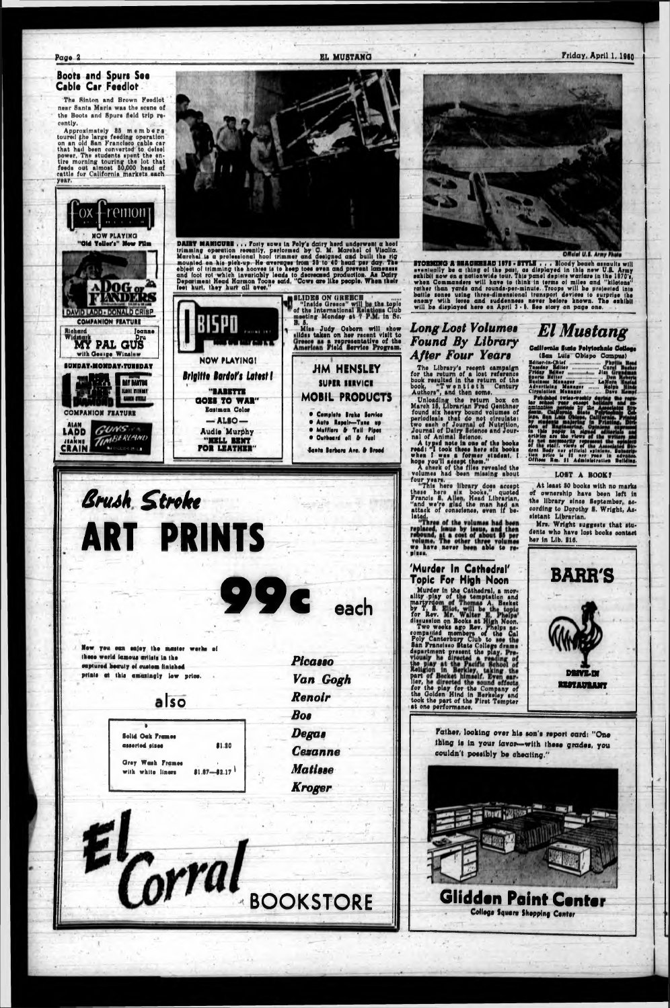Page 2

EL MUSTANG

#### Friday, April 1, 1960

#### **Boots and Spurs See** Cable Car Feedlot

The Sinton and Brown Feedlot near Santa Maria was the scene of the Boots and Spurs field trip recently.

Approximately 25 m e m b e r.e.<br>toured the large feeding operation<br>on an old San Francisco cable car<br>that had been converted to delsel power, The students spent the en-<br>tire morning touring the lot that<br>feeds out almost 50,000 head of<br>cattle for California markets each year.

**NOW PLAYING** 

"Old Yeller's" New Film



DAIRY MAMICURE ... Forty now in Poly's dairy herd underwent a heel<br>triansing operation recently, performed by C. M. Marchel of Visalia.<br>Marchel is a professional hoof trimmer and designed and built the rig<br>mounted on his p feet hurt, they hurt all ever.'



![](_page_1_Picture_11.jpeg)

**STORMOO A MACHIMAD IVI - STYLE ...** Bloody beach amoults will<br>summarily be a thing of the past, as displayed in this new U.S. Army<br>exhibit now on a nationwide tour. This panel depicts warders in the 1970's,<br>when Commander

### **Long Lost Volumes** Found By Library **After Four Years**

AJIEF FOUR IEUF TOURNED<br>The Library's recent campaign<br>for the return of a lost reference<br>book, "Two ntieth Century<br>Authors", and then some.<br>March 15, Librarian Fred Genthner<br>found six heavy bound volumes of<br>periodisals tha

four years.<br>"This here library does accept<br>these here six books," quoted<br>Francis S. Allen, Head Librarian,<br>"and we're glad the man had an<br>attack of conscience, even if be-

lated,<br>"Three of the volumes had been<br>replaced, imue by issue, and then<br>replaced, imue by issue, and then<br>volume. The other three volumes<br>we have never been able to realane

# **El Mustang**

California Siste Polytochnic Cottoge (Lan Luis Obispo Compt

|                                                                   |  | Kaar |
|-------------------------------------------------------------------|--|------|
| Tuesday Seiter  Carul Huche                                       |  |      |
|                                                                   |  |      |
| BOOTH MEISER ANNUALLY AND COMMON COMMENT                          |  |      |
| Business Manager  LaNera<br>Advertising Manager <i>mann</i> Malon |  |      |
| Circulation Manager  Dave Kempi                                   |  |      |
|                                                                   |  |      |

**are M** de me poortly roy<br>dent body, views of spinions, that body nor eithed spinions,<br>that price is it has your in<br>Offices Rm. 31 Administration **Daikling** 

#### LOST A BOOK?

At least 80 books with no marks of ownership have been left in the library since September, according to Dorothy S. Wright, Assistant Librarian.

Mrs. Wright suggests that students who have lost books contact her in Lib. 916.

![](_page_1_Picture_29.jpeg)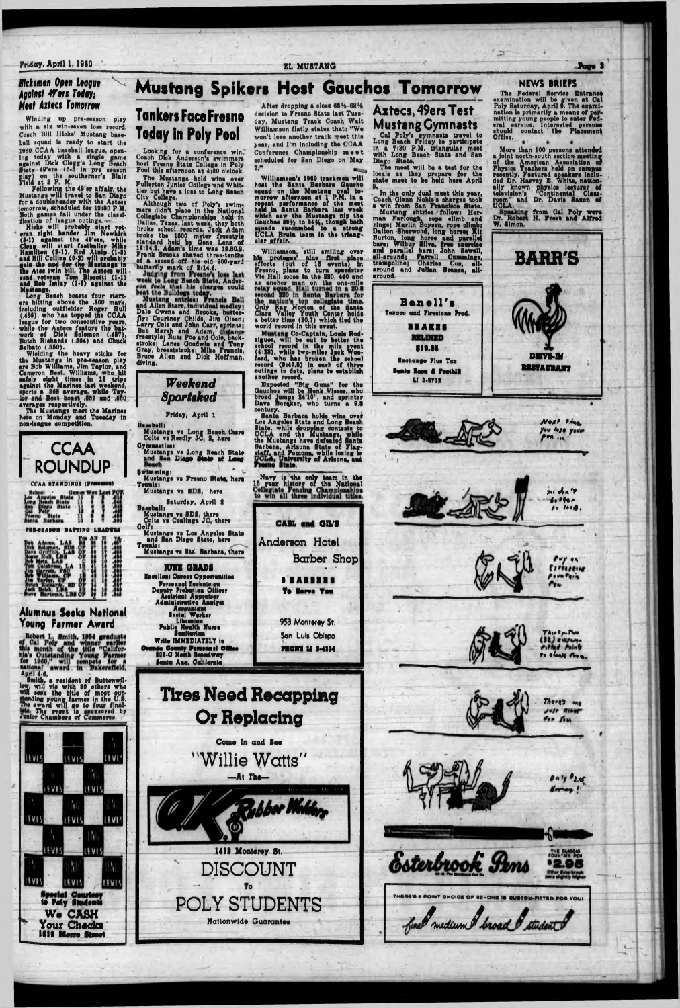#### Friday, April 1, 1960 Page 3

#### *Hlcksmen Open League* ^ *Against 49'ers Today; Meet Aitecs Tomorrow*

Winding up pre-season play with a six win-seven loss record, Coach Bill Hicks' Mustang base-<br>ball squad is ready to start the ball squad is ready to start the 1960 CCAA baseball league, opening today with a single game egalnit Dick Clcgg'e Long Beach State 49'era (0-6 in pro aaaaon play) on tha aouthornar's Blair Field at 8 P. M.

Following the 40'er affair, tha Muitanga will travel to Ban Dlago for a doublahaadar with tha Aateca tomorrow, icheduled for 12i80 P.M. Both gamea fall under tha claaalfication of league outings,  $\sim$ 

Hleka will probably atart vet- ■ aran right hander Jim Newkirk (8-1) agalnat the 49'ara, while Clegg will atart faetballer Mike Hamilton (8-1). Rod Atnlp (1-8) and Bill Colllna (0-8) will probably gala the nod for the Muatanga In the Atee twin bill, The Aateca will ■«nd veteran Tom Blacottl (1-1) and Bob Imlay (1-1) against the<br>Mustang<u>s</u>.

Long Beach boaeta four atariora hitting above the .800 mark. Including outfielder Roger Hull (.486), who haa topped tne CCAA league for two consecutive years, • while the Aateca feature the batwork of Diok Solomon (.457), Butch Rloharda (.864) and Chuok Balbato (.850).

Wielding the heavy sticks for the Muatanga In pre-iaaaon play are Bob Wlfllami, Jim Taylor, and Cameron Beet, Williams, who hit tafely eight tlmee in 18 tripe agalnat the Marlnea laat weekend, eporte a .865 average, while Taylor and Beet boaat .807 end MfiO averagea reapoctively.

#### After dropping a close 6814-6214 decision to Fresno State last Tuesday, Mustang Track Coach Walt Williamson flatly states that: " We won't lose another track meet this year, and I'm Including the CCAA Conference Championship meet scheduled for San Diego on May 7.

The Muatanga meet the Marlnea here on Monday and Tueaday In

![](_page_2_Picture_8.jpeg)

**NEWS BRIEFS**

# **Mustang Spikers Host Gauchos Tomorrow Tankers Face Fresno Today In Poly Pool**

Looking for n conference win, Coach Dick Anderson's swimmers hoet Freino State College In Poly Pool this afternoon at 4i80 o'clock.

The Mustangs hold wine over Fullerton Junior College nnd Whittier but have a loss to Long Beach City College.

Although two of Poly'a swimmers didn't place in the National Collegiate Championships held in Dallas, Texas, laat week, they both broke school records. Jack Adam broke the 1600 meter freestyle standard held by Gene Lena of 18:84.8. Adam's time was 18.80.8. Frank Brooks shaved three-tenths Of a second off his old 800-yxrd butterfly mark of 8114.4.

fly: Courtney Childs, Jim Olsen;<br>Larry Cole and John Carr, sprints;<br>Bob Marsh and Adam. distancy irry Cole and John Carr, Bob Marsh and Adam, freestyle; Russ Poe and Cole, backstroke: Lance Ooodwln end Tony Gray, breaststrokei Mike Francis, Bruce Allen and Dick Hoffman, diving, - | -- -------------- - —C31 VldUAl \_\_\_\_*\_ ,* Dale Owens and Brooks, butter- Clara Valley Youth Ci Cole and John Carr, aprlntai world record in this event. ... Janes Coodwin and Then. Figues, will be out to be

w Mustang Co-Captain, Louis Rod-Ill be out to better the school record In the mile event (4il8), while two-mller Jnck Wooford, who haa broken the echool record (8i47.6) In each of three outlnge in date, plane to eoteblleh another record.

v In the only dual meet this year, Coach Glenn Noble's ohargea took a win from San Francisco State.<br>Mustang entries follow: Her-

Williamson's 1960 trackmen will boat the Santa Barbara Gaucho squad on the Muatang oval tomorrow afternoon at 1 P.M. In a repeat performance of the meet held in Santa Barbara laat week which saw the Mustangs nip the Gauchoa 89(4 to 84)4, though both  $\mathbf{u}_1$  is determined to a strong UCLA Bruin team in the triangular affair.

**Practice MATE**, Ander- as anchor man on the one-mile Williamson, atlll smiling over hia proteges nine first place efforts (out of 15 events) In Fresno, plana to turn spesdstor Vlo Hall loose In the 880, 440 and Only Ray Norton of the Santa Owens and Brooks, butter-<br>Courtney Childs, Jim Olsen; a better time (20.7) which tied the

man Farlough, rope climb and Dr. Rober rings; Marlin Boysen, rope climb; W. Sin Burton, long horse and parallel bare; Wilbur Silva, free exerolie and paratlal here; John Sewell, all-around; Farrell Cummings, trampoline; Charles Cox, all-

 $$ H. Froet and Poly were ind Alfred

*W e e k e n d Sportiked*

Friday, April 1

Expected " Big Guns" for the Gauchoa will be Hank Vleaer, who broad Jumps 84'10" , nnd sprinter Dave Boroker, who turna a 9.1 century.

Santa Barbara holds wine over I.»s Angeles State and Long Bench

Aztecs, 49ers Test

![](_page_2_Picture_22.jpeg)

in a 7:30 P.M. triangular moat with Long Beach State and San Diego State. Tne moot will bo a teat for tha

locale ae they prepare for the ■tate meet to be held here April 0.

The Federal Servica Entranee 'en at Cal<br>The examiimarily a means n**g** people to **e** eral service. Interested examination will be given e: enter **Fed**mination will be given at Cal<br>y Saturday, April 9. The examiion is primarily a means of Pol; nail mittlng young should contact the Office. persons Placement

![](_page_2_Picture_31.jpeg)

More than 100 persons attended a joint north-south section meeting of the Amerioan A undeletion of Phyiica Teachers held on campus reoently. Featured apeakers Included Dr. Harvey E. White, nationally known pnyeics lecturer of television's " Continental Classroom'' and Dr. Davie Saxon of UCLA.